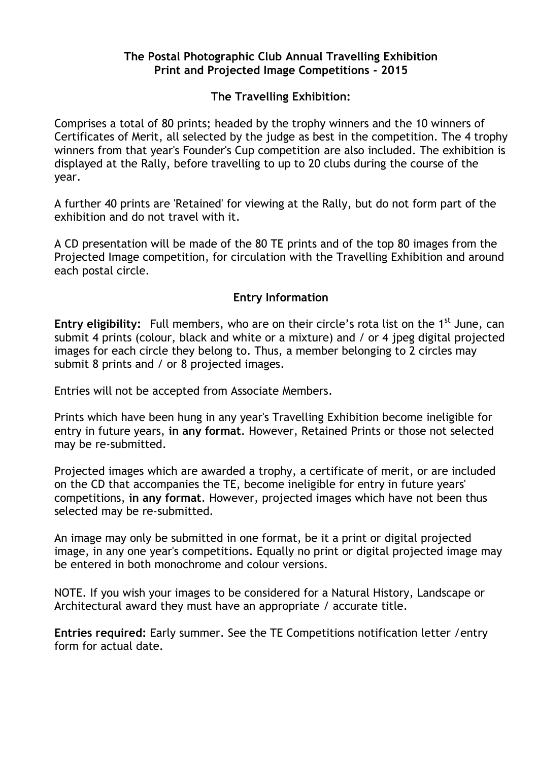### **The Postal Photographic Club Annual Travelling Exhibition Print and Projected Image Competitions - 2015**

# **The Travelling Exhibition:**

Comprises a total of 80 prints; headed by the trophy winners and the 10 winners of Certificates of Merit, all selected by the judge as best in the competition. The 4 trophy winners from that year's Founder's Cup competition are also included. The exhibition is displayed at the Rally, before travelling to up to 20 clubs during the course of the year.

A further 40 prints are 'Retained' for viewing at the Rally, but do not form part of the exhibition and do not travel with it.

A CD presentation will be made of the 80 TE prints and of the top 80 images from the Projected Image competition, for circulation with the Travelling Exhibition and around each postal circle.

# **Entry Information**

**Entry eligibility:** Full members, who are on their circle's rota list on the 1<sup>st</sup> June, can submit 4 prints (colour, black and white or a mixture) and / or 4 jpeg digital projected images for each circle they belong to. Thus, a member belonging to 2 circles may submit 8 prints and / or 8 projected images.

Entries will not be accepted from Associate Members.

Prints which have been hung in any year's Travelling Exhibition become ineligible for entry in future years, **in any format**. However, Retained Prints or those not selected may be re-submitted.

Projected images which are awarded a trophy, a certificate of merit, or are included on the CD that accompanies the TE, become ineligible for entry in future years' competitions, **in any format**. However, projected images which have not been thus selected may be re-submitted.

An image may only be submitted in one format, be it a print or digital projected image, in any one year's competitions. Equally no print or digital projected image may be entered in both monochrome and colour versions.

NOTE. If you wish your images to be considered for a Natural History, Landscape or Architectural award they must have an appropriate / accurate title.

**Entries required:** Early summer. See the TE Competitions notification letter /entry form for actual date.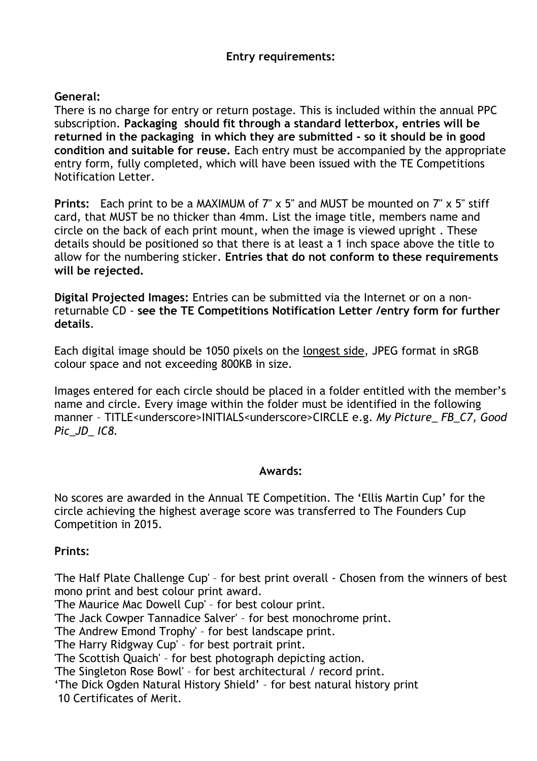### **Entry requirements:**

### **General:**

There is no charge for entry or return postage. This is included within the annual PPC subscription. **Packaging should fit through a standard letterbox, entries will be returned in the packaging in which they are submitted - so it should be in good condition and suitable for reuse.** Each entry must be accompanied by the appropriate entry form, fully completed, which will have been issued with the TE Competitions Notification Letter.

**Prints:** Each print to be a MAXIMUM of 7" x 5" and MUST be mounted on 7" x 5" stiff card, that MUST be no thicker than 4mm. List the image title, members name and circle on the back of each print mount, when the image is viewed upright . These details should be positioned so that there is at least a 1 inch space above the title to allow for the numbering sticker. **Entries that do not conform to these requirements will be rejected.**

**Digital Projected Images:** Entries can be submitted via the Internet or on a nonreturnable CD - **see the TE Competitions Notification Letter /entry form for further details**.

Each digital image should be 1050 pixels on the longest side, JPEG format in sRGB colour space and not exceeding 800KB in size.

Images entered for each circle should be placed in a folder entitled with the member's name and circle. Every image within the folder must be identified in the following manner – TITLE<underscore>INITIALS<underscore>CIRCLE e.g. *My Picture\_ FB\_C7, Good Pic\_JD\_ IC8.*

### **Awards:**

No scores are awarded in the Annual TE Competition. The 'Ellis Martin Cup' for the circle achieving the highest average score was transferred to The Founders Cup Competition in 2015.

### **Prints:**

'The Half Plate Challenge Cup' – for best print overall - Chosen from the winners of best mono print and best colour print award.

'The Maurice Mac Dowell Cup' – for best colour print.

'The Jack Cowper Tannadice Salver' – for best monochrome print.

'The Andrew Emond Trophy' – for best landscape print.

'The Harry Ridgway Cup' – for best portrait print.

'The Scottish Quaich' – for best photograph depicting action.

'The Singleton Rose Bowl' – for best architectural / record print.

'The Dick Ogden Natural History Shield' – for best natural history print 10 Certificates of Merit.